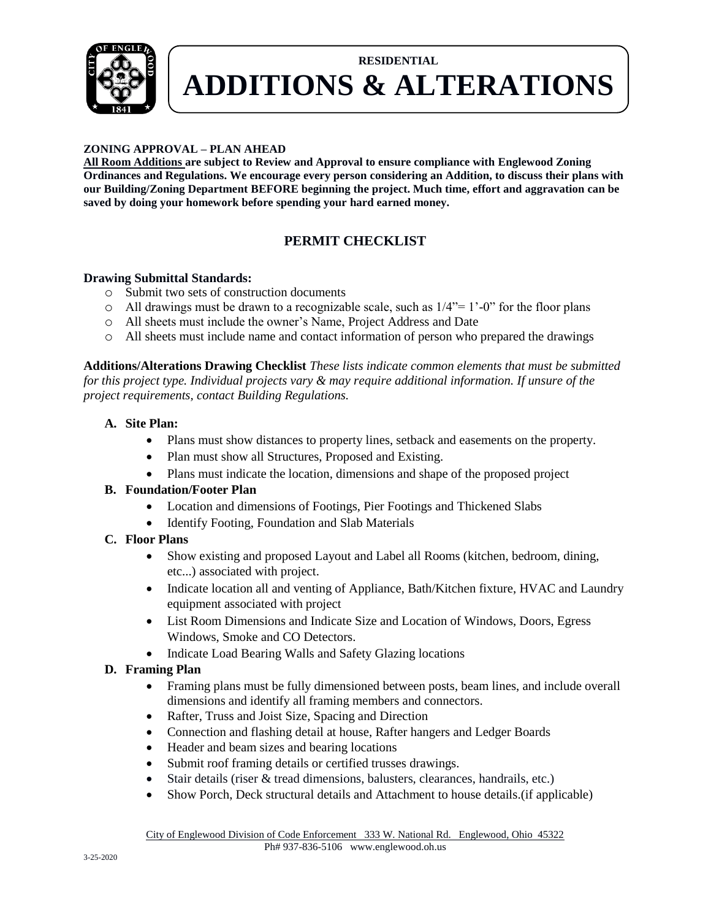

### **ZONING APPROVAL – PLAN AHEAD**

**All Room Additions are subject to Review and Approval to ensure compliance with Englewood Zoning Ordinances and Regulations. We encourage every person considering an Addition, to discuss their plans with our Building/Zoning Department BEFORE beginning the project. Much time, effort and aggravation can be saved by doing your homework before spending your hard earned money.**

### **PERMIT CHECKLIST**

### **Drawing Submittal Standards:**

- o Submit two sets of construction documents
- $\circ$  All drawings must be drawn to a recognizable scale, such as  $1/4$ "= 1'-0" for the floor plans
- o All sheets must include the owner's Name, Project Address and Date
- o All sheets must include name and contact information of person who prepared the drawings

**Additions/Alterations Drawing Checklist** *These lists indicate common elements that must be submitted for this project type. Individual projects vary & may require additional information. If unsure of the project requirements, contact Building Regulations.*

#### **A. Site Plan:**

- Plans must show distances to property lines, setback and easements on the property.
- Plan must show all Structures, Proposed and Existing.
- Plans must indicate the location, dimensions and shape of the proposed project

#### **B. Foundation/Footer Plan**

- Location and dimensions of Footings, Pier Footings and Thickened Slabs
- Identify Footing, Foundation and Slab Materials

#### **C. Floor Plans**

- Show existing and proposed Layout and Label all Rooms (kitchen, bedroom, dining, etc...) associated with project.
- Indicate location all and venting of Appliance, Bath/Kitchen fixture, HVAC and Laundry equipment associated with project
- List Room Dimensions and Indicate Size and Location of Windows, Doors, Egress Windows, Smoke and CO Detectors.
- Indicate Load Bearing Walls and Safety Glazing locations

#### **D. Framing Plan**

- Framing plans must be fully dimensioned between posts, beam lines, and include overall dimensions and identify all framing members and connectors.
- Rafter, Truss and Joist Size, Spacing and Direction
- Connection and flashing detail at house, Rafter hangers and Ledger Boards
- Header and beam sizes and bearing locations
- Submit roof framing details or certified trusses drawings.
- Stair details (riser & tread dimensions, balusters, clearances, handrails, etc.)
- Show Porch, Deck structural details and Attachment to house details.(if applicable)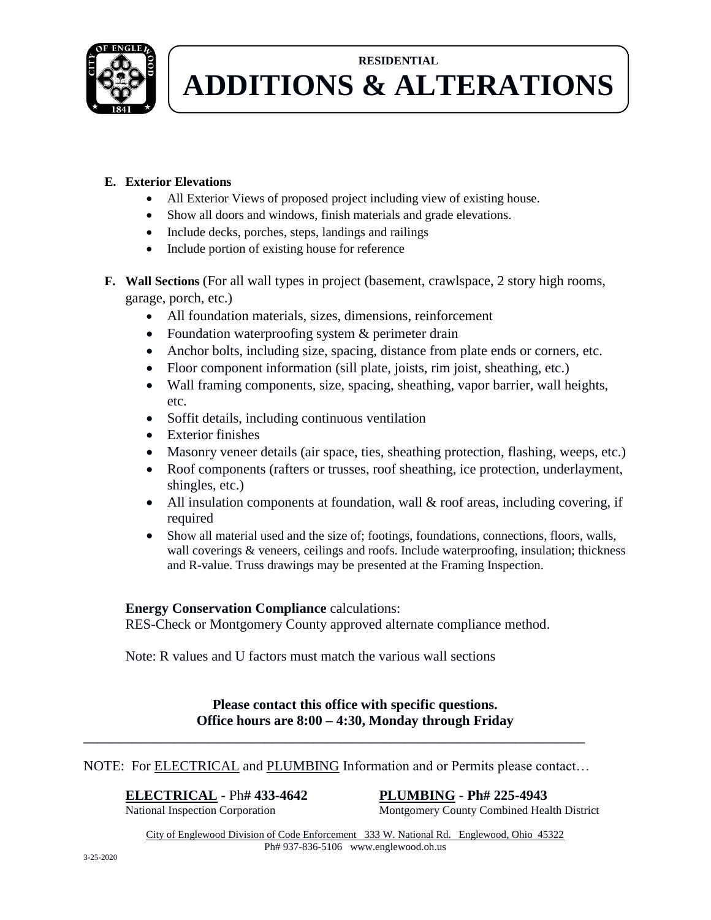

### **E. Exterior Elevations**

- All Exterior Views of proposed project including view of existing house.
- Show all doors and windows, finish materials and grade elevations.
- Include decks, porches, steps, landings and railings
- Include portion of existing house for reference
- **F. Wall Sections** (For all wall types in project (basement, crawlspace, 2 story high rooms, garage, porch, etc.)
	- All foundation materials, sizes, dimensions, reinforcement
	- Foundation waterproofing system & perimeter drain
	- Anchor bolts, including size, spacing, distance from plate ends or corners, etc.
	- Floor component information (sill plate, joists, rim joist, sheathing, etc.)
	- Wall framing components, size, spacing, sheathing, vapor barrier, wall heights, etc.
	- Soffit details, including continuous ventilation
	- Exterior finishes
	- Masonry veneer details (air space, ties, sheathing protection, flashing, weeps, etc.)
	- Roof components (rafters or trusses, roof sheathing, ice protection, underlayment, shingles, etc.)
	- All insulation components at foundation, wall  $\&$  roof areas, including covering, if required
	- Show all material used and the size of; footings, foundations, connections, floors, walls, wall coverings & veneers, ceilings and roofs. Include waterproofing, insulation; thickness and R-value. Truss drawings may be presented at the Framing Inspection.

### **Energy Conservation Compliance** calculations:

RES-Check or Montgomery County approved alternate compliance method.

Note: R values and U factors must match the various wall sections

### **Please contact this office with specific questions. Office hours are 8:00 – 4:30, Monday through Friday**

### NOTE: For **ELECTRICAL** and **PLUMBING** Information and or Permits please contact...

**\_\_\_\_\_\_\_\_\_\_\_\_\_\_\_\_\_\_\_\_\_\_\_\_\_\_\_\_\_\_\_\_\_\_\_\_\_\_\_\_\_\_\_\_\_\_\_\_\_\_\_\_\_\_\_\_\_\_\_\_\_\_\_\_\_\_\_\_\_\_\_\_**

**ELECTRICAL** - Ph# 433-4642<br>
National Inspection Corporation<br>
Montgomery County Combined Heal Montgomery County Combined Health District

City of Englewood Division of Code Enforcement 333 W. National Rd. Englewood, Ohio 45322 Ph# 937-836-5106 www.englewood.oh.us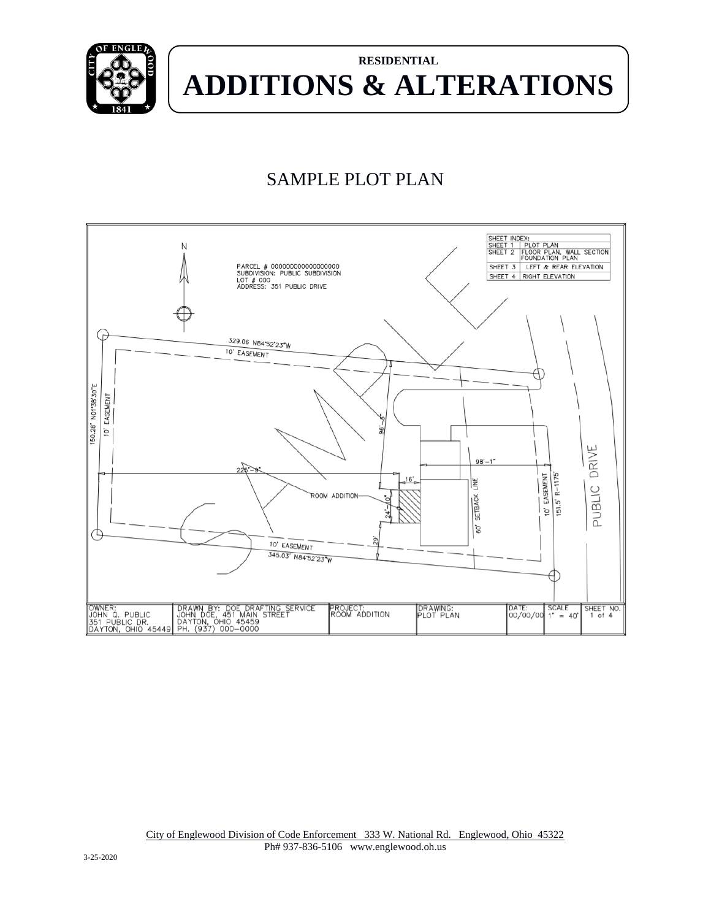

## SAMPLE PLOT PLAN

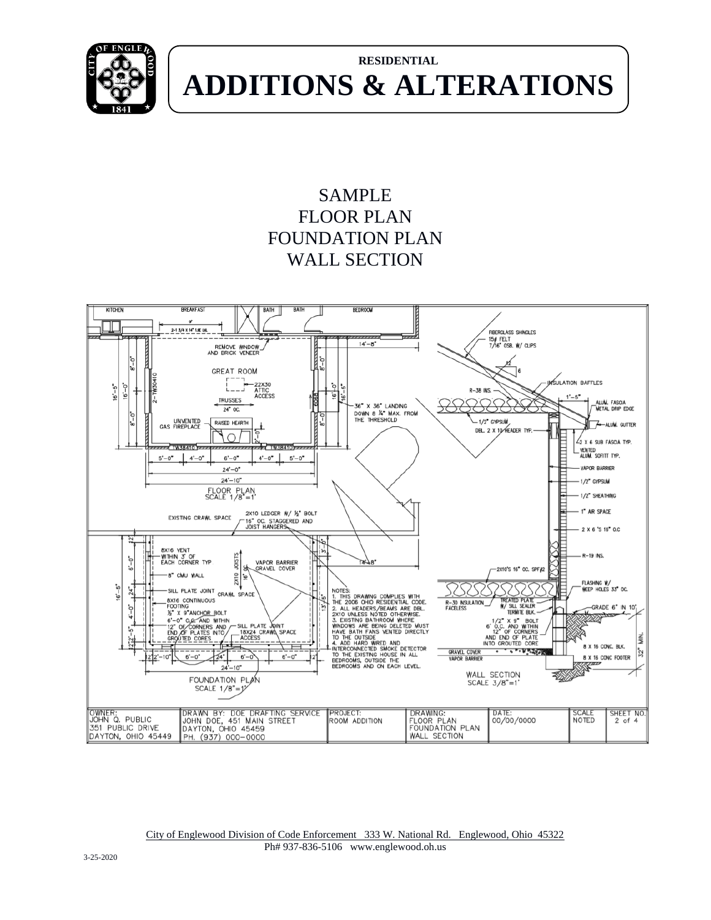

### SAMPLE FLOOR PLAN FOUNDATION PLAN WALL SECTION



City of Englewood Division of Code Enforcement 333 W. National Rd. Englewood, Ohio 45322 Ph# 937-836-5106 www.englewood.oh.us